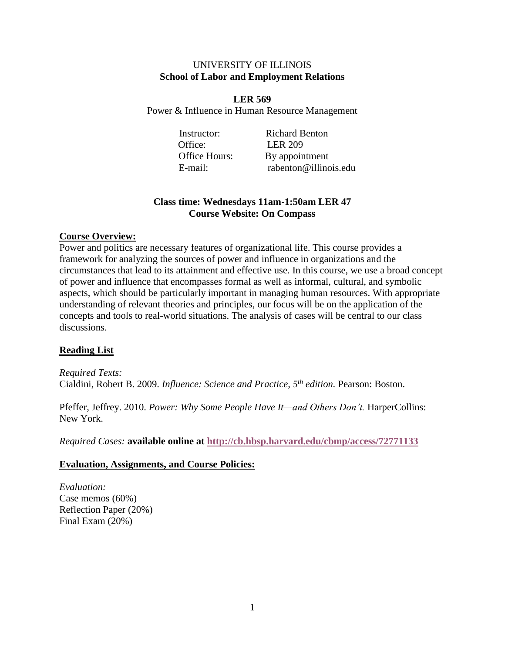### UNIVERSITY OF ILLINOIS **School of Labor and Employment Relations**

**LER 569** Power & Influence in Human Resource Management

Office: LER 209

Instructor: Richard Benton Office Hours: By appointment E-mail: rabenton@illinois.edu

# **Class time: Wednesdays 11am-1:50am LER 47 Course Website: On Compass**

## **Course Overview:**

Power and politics are necessary features of organizational life. This course provides a framework for analyzing the sources of power and influence in organizations and the circumstances that lead to its attainment and effective use. In this course, we use a broad concept of power and influence that encompasses formal as well as informal, cultural, and symbolic aspects, which should be particularly important in managing human resources. With appropriate understanding of relevant theories and principles, our focus will be on the application of the concepts and tools to real-world situations. The analysis of cases will be central to our class discussions.

# **Reading List**

*Required Texts:* Cialdini, Robert B. 2009. *Influence: Science and Practice, 5th edition.* Pearson: Boston.

Pfeffer, Jeffrey. 2010. *Power: Why Some People Have It—and Others Don't*. HarperCollins: New York.

*Required Cases:* **available online at <http://cb.hbsp.harvard.edu/cbmp/access/72771133>**

### **Evaluation, Assignments, and Course Policies:**

*Evaluation:* Case memos (60%) Reflection Paper (20%) Final Exam (20%)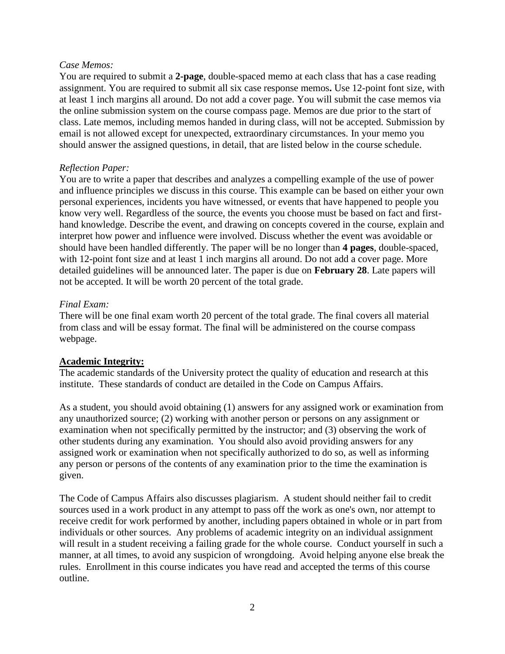#### *Case Memos:*

You are required to submit a **2-page**, double-spaced memo at each class that has a case reading assignment. You are required to submit all six case response memos**.** Use 12-point font size, with at least 1 inch margins all around. Do not add a cover page. You will submit the case memos via the online submission system on the course compass page. Memos are due prior to the start of class. Late memos, including memos handed in during class, will not be accepted. Submission by email is not allowed except for unexpected, extraordinary circumstances. In your memo you should answer the assigned questions, in detail, that are listed below in the course schedule.

### *Reflection Paper:*

You are to write a paper that describes and analyzes a compelling example of the use of power and influence principles we discuss in this course. This example can be based on either your own personal experiences, incidents you have witnessed, or events that have happened to people you know very well. Regardless of the source, the events you choose must be based on fact and firsthand knowledge. Describe the event, and drawing on concepts covered in the course, explain and interpret how power and influence were involved. Discuss whether the event was avoidable or should have been handled differently. The paper will be no longer than **4 pages**, double-spaced, with 12-point font size and at least 1 inch margins all around. Do not add a cover page. More detailed guidelines will be announced later. The paper is due on **February 28**. Late papers will not be accepted. It will be worth 20 percent of the total grade.

## *Final Exam:*

There will be one final exam worth 20 percent of the total grade. The final covers all material from class and will be essay format. The final will be administered on the course compass webpage.

# **Academic Integrity:**

The academic standards of the University protect the quality of education and research at this institute. These standards of conduct are detailed in the Code on Campus Affairs.

As a student, you should avoid obtaining (1) answers for any assigned work or examination from any unauthorized source; (2) working with another person or persons on any assignment or examination when not specifically permitted by the instructor; and (3) observing the work of other students during any examination. You should also avoid providing answers for any assigned work or examination when not specifically authorized to do so, as well as informing any person or persons of the contents of any examination prior to the time the examination is given.

The Code of Campus Affairs also discusses plagiarism. A student should neither fail to credit sources used in a work product in any attempt to pass off the work as one's own, nor attempt to receive credit for work performed by another, including papers obtained in whole or in part from individuals or other sources. Any problems of academic integrity on an individual assignment will result in a student receiving a failing grade for the whole course. Conduct yourself in such a manner, at all times, to avoid any suspicion of wrongdoing. Avoid helping anyone else break the rules. Enrollment in this course indicates you have read and accepted the terms of this course outline.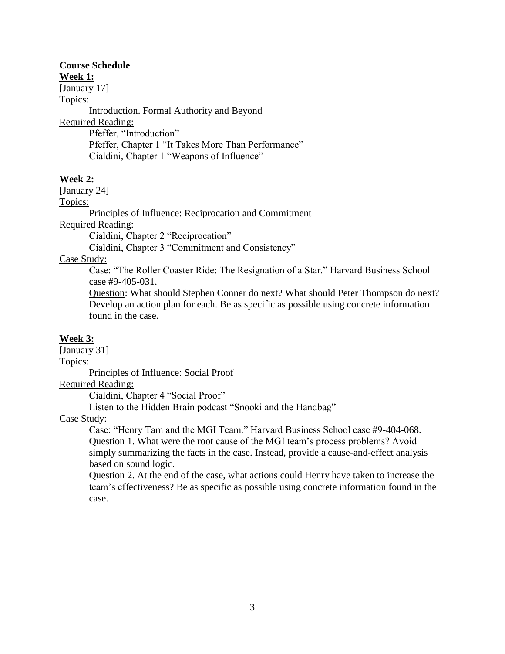# **Course Schedule**

**Week 1:**

[January 17]

Topics:

Introduction. Formal Authority and Beyond Required Reading: Pfeffer, "Introduction" Pfeffer, Chapter 1 "It Takes More Than Performance"

Cialdini, Chapter 1 "Weapons of Influence"

# **Week 2:**

[January 24]

Topics:

Principles of Influence: Reciprocation and Commitment

Required Reading:

Cialdini, Chapter 2 "Reciprocation"

Cialdini, Chapter 3 "Commitment and Consistency"

Case Study:

Case: "The Roller Coaster Ride: The Resignation of a Star." Harvard Business School case #9-405-031.

Question: What should Stephen Conner do next? What should Peter Thompson do next? Develop an action plan for each. Be as specific as possible using concrete information found in the case.

### **Week 3:**

[January 31]

Topics:

Principles of Influence: Social Proof

Required Reading:

Cialdini, Chapter 4 "Social Proof"

Listen to the Hidden Brain podcast "Snooki and the Handbag"

Case Study:

Case: "Henry Tam and the MGI Team." Harvard Business School case #9-404-068. Question 1. What were the root cause of the MGI team's process problems? Avoid simply summarizing the facts in the case. Instead, provide a cause-and-effect analysis based on sound logic.

Question 2. At the end of the case, what actions could Henry have taken to increase the team's effectiveness? Be as specific as possible using concrete information found in the case.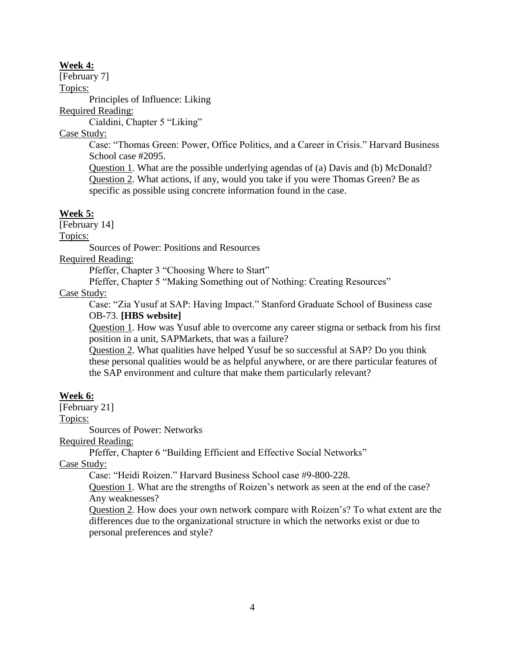#### **Week 4:**

[February 7]

Topics:

Principles of Influence: Liking

Required Reading:

Cialdini, Chapter 5 "Liking"

Case Study:

Case: "Thomas Green: Power, Office Politics, and a Career in Crisis." Harvard Business School case #2095.

Question 1. What are the possible underlying agendas of (a) Davis and (b) McDonald? Question 2. What actions, if any, would you take if you were Thomas Green? Be as specific as possible using concrete information found in the case.

## **Week 5:**

[February 14]

Topics:

Sources of Power: Positions and Resources

Required Reading:

Pfeffer, Chapter 3 "Choosing Where to Start"

Pfeffer, Chapter 5 "Making Something out of Nothing: Creating Resources"

## Case Study:

Case: "Zia Yusuf at SAP: Having Impact." Stanford Graduate School of Business case OB-73. **[HBS website]**

Question 1. How was Yusuf able to overcome any career stigma or setback from his first position in a unit, SAPMarkets, that was a failure?

Question 2. What qualities have helped Yusuf be so successful at SAP? Do you think these personal qualities would be as helpful anywhere, or are there particular features of the SAP environment and culture that make them particularly relevant?

# **Week 6:**

[February 21]

Topics:

Sources of Power: Networks

Required Reading:

Pfeffer, Chapter 6 "Building Efficient and Effective Social Networks"

Case Study:

Case: "Heidi Roizen." Harvard Business School case #9-800-228.

Question 1. What are the strengths of Roizen's network as seen at the end of the case? Any weaknesses?

Question 2. How does your own network compare with Roizen's? To what extent are the differences due to the organizational structure in which the networks exist or due to personal preferences and style?